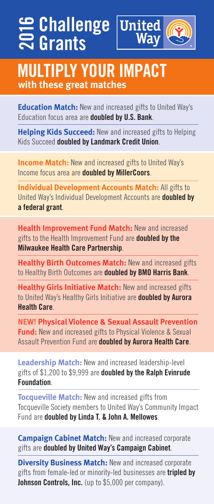## **Challenge Grants with Challenge**<br> **20 Grants<br>
2016**<br> **2017 WOUR II**<br> **2018**<br>
2018 With these great matches



# **MULTIPLY YOUR IMPACT**

**Education Match:** New and increased gifts to United Way's Education focus area are **doubled by U.S. Bank**.

**Helping Kids Succeed:** New and increased gifts to Helping Kids Succeed **doubled by Landmark Credit Union**.

**Income Match:** New and increased gifts to United Way's Income focus area are **doubled by MillerCoors**.

**Individual Development Accounts Match:** All gifts to United Way's Individual Development Accounts are **doubled by a federal grant**.

**Health Improvement Fund Match:** New and increased gifts to the Health Improvement Fund are **doubled by the Milwaukee Health Care Partnership**.

**Healthy Birth Outcomes Match:** New and increased gifts to Healthy Birth Outcomes are **doubled by BMO Harris Bank**.

**Healthy Girls Initiative Match:** New and increased gifts to United Way's Healthy Girls Initiative are **doubled by Aurora Health Care**.

**NEW! Physical Violence & Sexual Assault Prevention Fund:** New and increased gifts to Physical Violence & Sexual Assault Prevention Fund are **doubled by Aurora Health Care**.

**Leadership Match:** New and increased leadership-level gifts of \$1,200 to \$9,999 are **doubled by the Ralph Evinrude Foundation**.

**Tocqueville Match:** New and increased gifts from Tocqueville Society members to United Way's Community Impact Fund are **doubled by Linda T. & John A. Mellowes**.

**Campaign Cabinet Match:** New and increased corporate gifts are **doubled by United Way's Campaign Cabinet**.

**Diversity Business Match: New and increased corporate** gifts from female-led or minority-led businesses are **tripled by Johnson Controls, Inc.** (up to \$5,000 per company).